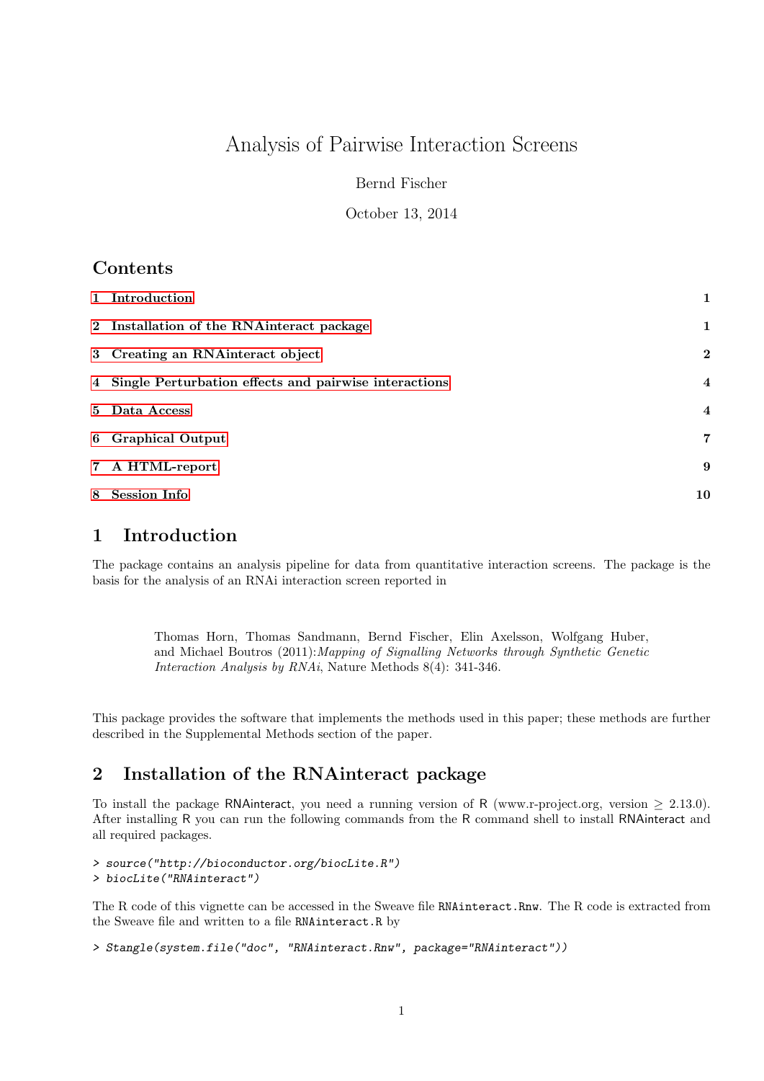## Analysis of Pairwise Interaction Screens

Bernd Fischer

October 13, 2014

## Contents

| 1 Introduction                                          |                         |
|---------------------------------------------------------|-------------------------|
| 2 Installation of the RNA interact package              | $\mathbf 1$             |
| 3 Creating an RNA interact object                       | $\mathbf{2}$            |
| 4 Single Perturbation effects and pairwise interactions | $\overline{\mathbf{4}}$ |
| 5 Data Access                                           | $\overline{4}$          |
| 6 Graphical Output                                      | 7                       |
| 7 A HTML-report                                         | -9                      |
| 8 Session Info                                          | 10                      |

### <span id="page-0-0"></span>1 Introduction

The package contains an analysis pipeline for data from quantitative interaction screens. The package is the basis for the analysis of an RNAi interaction screen reported in

Thomas Horn, Thomas Sandmann, Bernd Fischer, Elin Axelsson, Wolfgang Huber, and Michael Boutros (2011):Mapping of Signalling Networks through Synthetic Genetic Interaction Analysis by RNAi, Nature Methods 8(4): 341-346.

This package provides the software that implements the methods used in this paper; these methods are further described in the Supplemental Methods section of the paper.

### <span id="page-0-1"></span>2 Installation of the RNAinteract package

To install the package RNA interact, you need a running version of R (www.r-project.org, version  $\geq 2.13.0$ ). After installing R you can run the following commands from the R command shell to install RNAinteract and all required packages.

> source("http://bioconductor.org/biocLite.R") > biocLite("RNAinteract")

The R code of this vignette can be accessed in the Sweave file RNAinteract.Rnw. The R code is extracted from the Sweave file and written to a file RNAinteract.R by

```
> Stangle(system.file("doc", "RNAinteract.Rnw", package="RNAinteract"))
```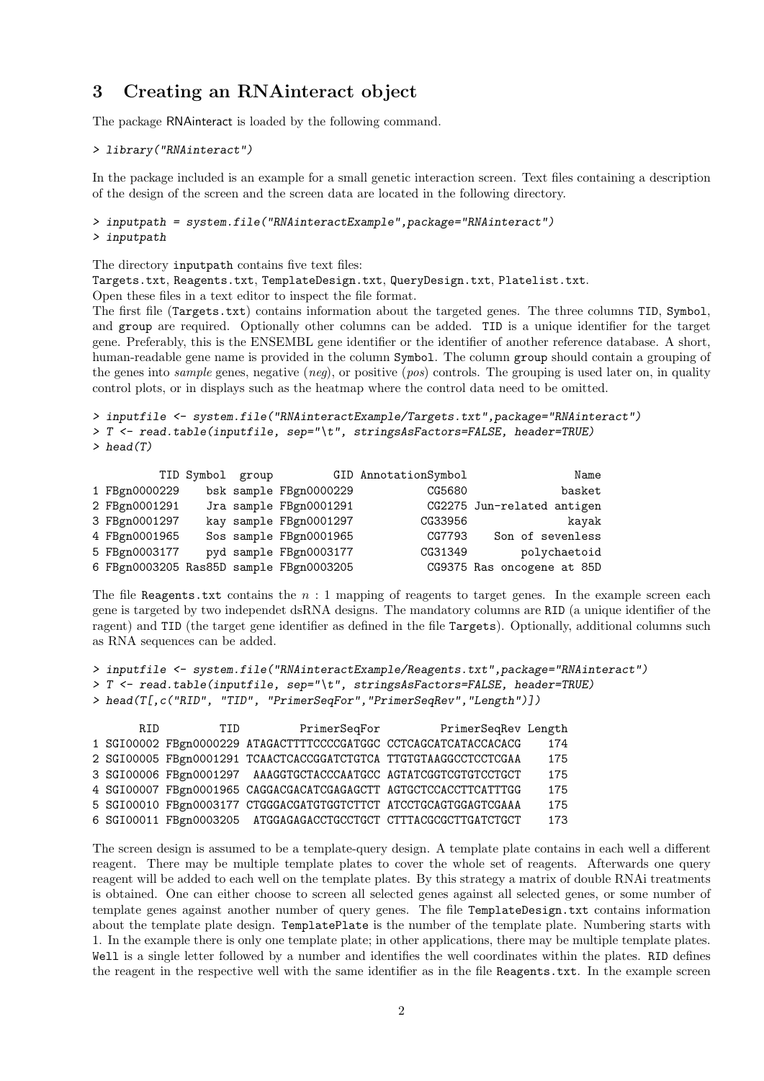#### <span id="page-1-0"></span>3 Creating an RNAinteract object

The package RNAinteract is loaded by the following command.

```
> library("RNAinteract")
```
In the package included is an example for a small genetic interaction screen. Text files containing a description of the design of the screen and the screen data are located in the following directory.

```
> inputpath = system.file("RNAinteractExample",package="RNAinteract")
> inputpath
```
The directory inputpath contains five text files:

Targets.txt, Reagents.txt, TemplateDesign.txt, QueryDesign.txt, Platelist.txt.

Open these files in a text editor to inspect the file format.

The first file (Targets.txt) contains information about the targeted genes. The three columns TID, Symbol, and group are required. Optionally other columns can be added. TID is a unique identifier for the target gene. Preferably, this is the ENSEMBL gene identifier or the identifier of another reference database. A short, human-readable gene name is provided in the column Symbol. The column group should contain a grouping of the genes into sample genes, negative (neq), or positive (pos) controls. The grouping is used later on, in quality control plots, or in displays such as the heatmap where the control data need to be omitted.

```
> inputfile <- system.file("RNAinteractExample/Targets.txt",package="RNAinteract")
> T <- read.table(inputfile, sep="\t", stringsAsFactors=FALSE, header=TRUE)
> head(T)
```

|                                         | TID Symbol group |                        | GID AnnotationSymbol | Name                       |
|-----------------------------------------|------------------|------------------------|----------------------|----------------------------|
| 1 FBgn0000229                           |                  | bsk sample FBgn0000229 | CG5680               | basket                     |
| 2 FBgn0001291                           |                  | Jra sample FBgn0001291 |                      | CG2275 Jun-related antigen |
| 3 FBgn0001297                           |                  | kay sample FBgn0001297 | CG33956              | kayak                      |
| 4 FBgn0001965                           |                  | Sos sample FBgn0001965 | CG7793               | Son of sevenless           |
| 5 FBgn0003177                           |                  | pyd sample FBgn0003177 | CG31349              | polychaetoid               |
| 6 FBgn0003205 Ras85D sample FBgn0003205 |                  |                        |                      | CG9375 Ras oncogene at 85D |

The file Reagents.txt contains the  $n:1$  mapping of reagents to target genes. In the example screen each gene is targeted by two independet dsRNA designs. The mandatory columns are RID (a unique identifier of the ragent) and TID (the target gene identifier as defined in the file Targets). Optionally, additional columns such as RNA sequences can be added.

```
> inputfile <- system.file("RNAinteractExample/Reagents.txt",package="RNAinteract")
```

```
> T <- read.table(inputfile, sep="\t", stringsAsFactors=FALSE, header=TRUE)
```

```
> head(T[,c("RID", "TID", "PrimerSeqFor","PrimerSeqRev","Length")])
```

| R.TD | TTD. | PrimerSeqFor                                                     | PrimerSeqRev Length |     |
|------|------|------------------------------------------------------------------|---------------------|-----|
|      |      | 1 SGI00002 FBgn0000229 ATAGACTTTTCCCCGATGGC CCTCAGCATCATACCACACG |                     | 174 |
|      |      | 2 SGI00005 FBgn0001291 TCAACTCACCGGATCTGTCA TTGTGTAAGGCCTCCTCGAA |                     | 175 |
|      |      | 3 SGI00006 FBgn0001297 AAAGGTGCTACCCAATGCC AGTATCGGTCGTGTCCTGCT  |                     | 175 |
|      |      | 4 SGI00007 FBgn0001965 CAGGACGACATCGAGAGCTT AGTGCTCCACCTTCATTTGG |                     | 175 |
|      |      | 5 SGI00010 FBgn0003177 CTGGGACGATGTGGTCTTCT ATCCTGCAGTGGAGTCGAAA |                     | 175 |
|      |      | 6 SGI00011 FBgn0003205 ATGGAGAGACCTGCCTGCT CTTTACGCGCTTGATCTGCT  |                     | 173 |

The screen design is assumed to be a template-query design. A template plate contains in each well a different reagent. There may be multiple template plates to cover the whole set of reagents. Afterwards one query reagent will be added to each well on the template plates. By this strategy a matrix of double RNAi treatments is obtained. One can either choose to screen all selected genes against all selected genes, or some number of template genes against another number of query genes. The file TemplateDesign.txt contains information about the template plate design. TemplatePlate is the number of the template plate. Numbering starts with 1. In the example there is only one template plate; in other applications, there may be multiple template plates. Well is a single letter followed by a number and identifies the well coordinates within the plates. RID defines the reagent in the respective well with the same identifier as in the file Reagents.txt. In the example screen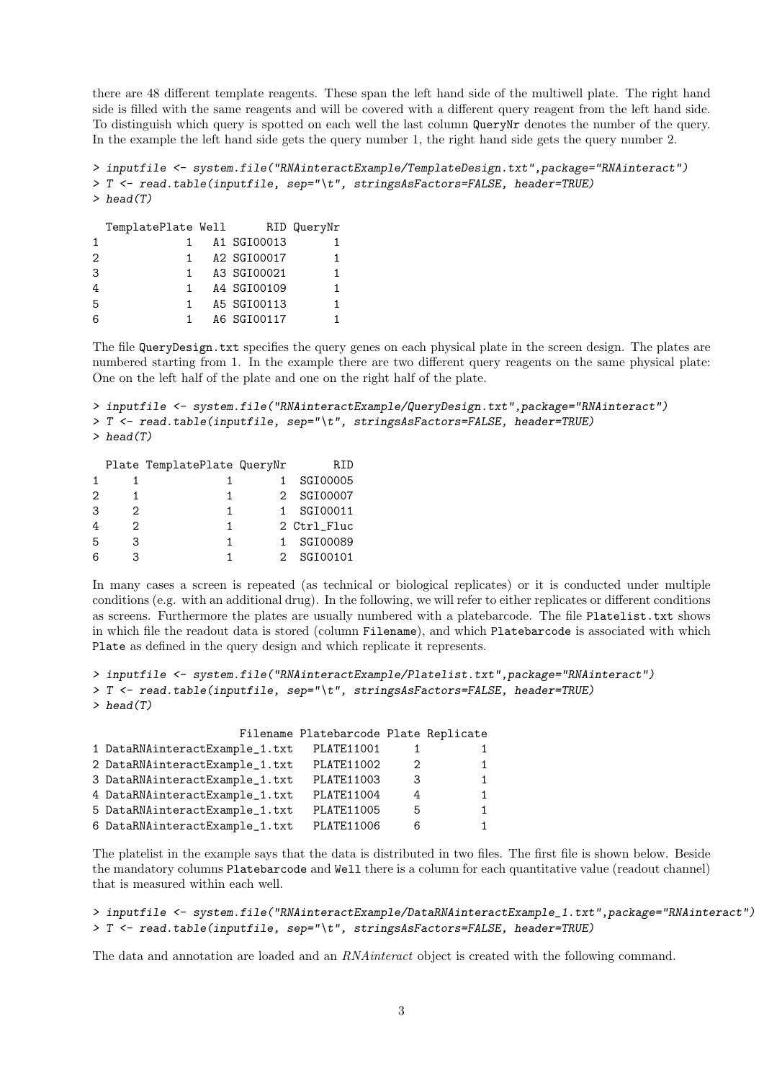there are 48 different template reagents. These span the left hand side of the multiwell plate. The right hand side is filled with the same reagents and will be covered with a different query reagent from the left hand side. To distinguish which query is spotted on each well the last column QueryNr denotes the number of the query. In the example the left hand side gets the query number 1, the right hand side gets the query number 2.

```
> inputfile <- system.file("RNAinteractExample/TemplateDesign.txt",package="RNAinteract")
> T <- read.table(inputfile, sep="\t", stringsAsFactors=FALSE, header=TRUE)
> head(T)
```

|                   | TemplatePlate Well |             | RID QueryNr |
|-------------------|--------------------|-------------|-------------|
| 1                 |                    | A1 SGI00013 |             |
| $\mathcal{D}_{1}$ | 1                  | A2 SGI00017 |             |
| 3                 | 1.                 | A3 SGI00021 |             |
| 4                 | 1.                 | A4 SGI00109 |             |
| 5                 | 1                  | A5 SGI00113 |             |
| 6                 |                    | A6 SGI00117 |             |

The file QueryDesign.txt specifies the query genes on each physical plate in the screen design. The plates are numbered starting from 1. In the example there are two different query reagents on the same physical plate: One on the left half of the plate and one on the right half of the plate.

```
> inputfile <- system.file("RNAinteractExample/QueryDesign.txt",package="RNAinteract")
> T <- read.table(inputfile, sep="\t", stringsAsFactors=FALSE, header=TRUE)
> head(T)
```

|   |   | Plate TemplatePlate QueryNr | R.ID        |
|---|---|-----------------------------|-------------|
|   |   |                             | SGI00005    |
| 2 |   |                             | 2 SGI00007  |
| 3 | 2 |                             | SGI00011    |
| 4 | 2 |                             | 2 Ctrl_Fluc |
| 5 | 3 |                             | SGI00089    |
| 6 |   |                             | SGI00101    |

In many cases a screen is repeated (as technical or biological replicates) or it is conducted under multiple conditions (e.g. with an additional drug). In the following, we will refer to either replicates or different conditions as screens. Furthermore the plates are usually numbered with a platebarcode. The file Platelist.txt shows in which file the readout data is stored (column Filename), and which Platebarcode is associated with which Plate as defined in the query design and which replicate it represents.

```
> inputfile <- system.file("RNAinteractExample/Platelist.txt",package="RNAinteract")
> T <- read.table(inputfile, sep="\t", stringsAsFactors=FALSE, header=TRUE)
> head(T)
```

|                                | Filename Platebarcode Plate Replicate |   |   |
|--------------------------------|---------------------------------------|---|---|
| 1 DataRNAinteractExample_1.txt | PLATE11001                            |   |   |
| 2 DataRNAinteractExample_1.txt | PLATE11002                            | 2 | 1 |
| 3 DataRNAinteractExample_1.txt | PLATE11003                            | 3 | 1 |
| 4 DataRNAinteractExample_1.txt | PLATE11004                            | 4 | 1 |
| 5 DataRNAinteractExample_1.txt | PLATE11005                            | 5 | 1 |
| 6 DataRNAinteractExample_1.txt | PLATE11006                            | 6 |   |

The platelist in the example says that the data is distributed in two files. The first file is shown below. Beside the mandatory columns Platebarcode and Well there is a column for each quantitative value (readout channel) that is measured within each well.

```
> inputfile <- system.file("RNAinteractExample/DataRNAinteractExample_1.txt",package="RNAinteract")
> T <- read.table(inputfile, sep="\t", stringsAsFactors=FALSE, header=TRUE)
```
The data and annotation are loaded and an RNAinteract object is created with the following command.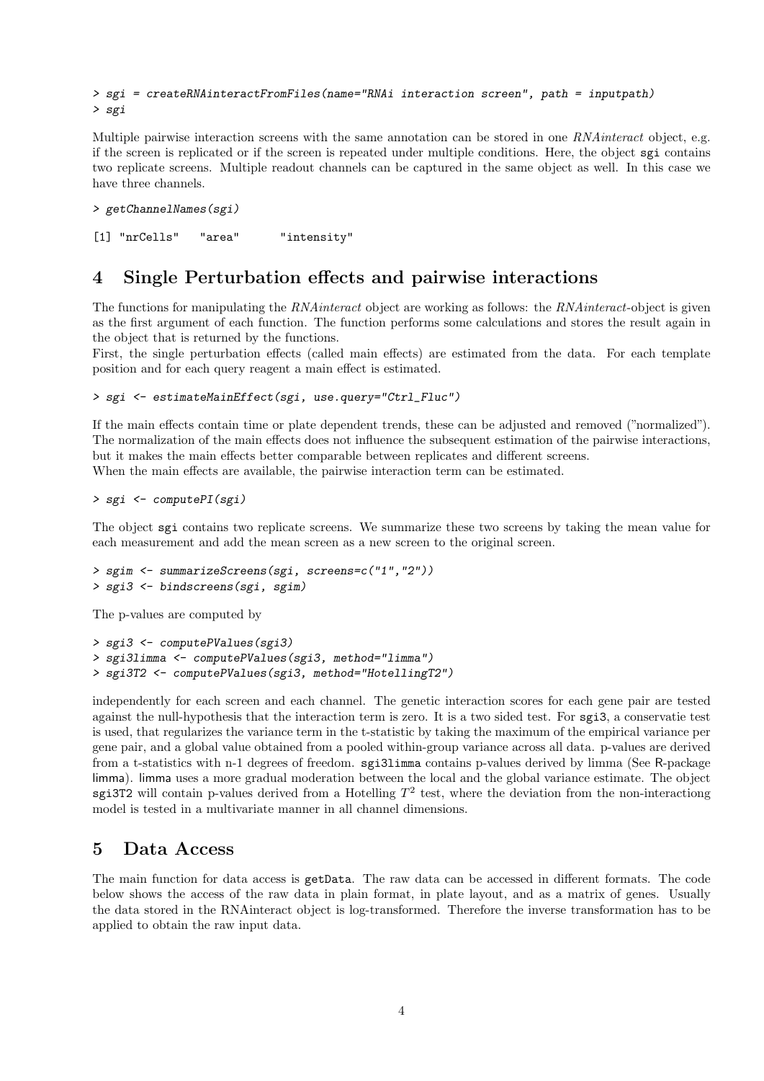```
> sgi = createRNAinteractFromFiles(name="RNAi interaction screen", path = inputpath)
> sgi
```
Multiple pairwise interaction screens with the same annotation can be stored in one RNA interact object, e.g. if the screen is replicated or if the screen is repeated under multiple conditions. Here, the object sgi contains two replicate screens. Multiple readout channels can be captured in the same object as well. In this case we have three channels.

```
> getChannelNames(sgi)
```
[1] "nrCells" "area" "intensity"

#### <span id="page-3-0"></span>4 Single Perturbation effects and pairwise interactions

The functions for manipulating the RNA interact object are working as follows: the RNA interact-object is given as the first argument of each function. The function performs some calculations and stores the result again in the object that is returned by the functions.

First, the single perturbation effects (called main effects) are estimated from the data. For each template position and for each query reagent a main effect is estimated.

> sgi <- estimateMainEffect(sgi, use.query="Ctrl\_Fluc")

If the main effects contain time or plate dependent trends, these can be adjusted and removed ("normalized"). The normalization of the main effects does not influence the subsequent estimation of the pairwise interactions, but it makes the main effects better comparable between replicates and different screens. When the main effects are available, the pairwise interaction term can be estimated.

> sgi <- computePI(sgi)

The object sgi contains two replicate screens. We summarize these two screens by taking the mean value for each measurement and add the mean screen as a new screen to the original screen.

> sgim <- summarizeScreens(sgi, screens=c("1","2")) > sgi3 <- bindscreens(sgi, sgim)

The p-values are computed by

```
> sgi3 <- computePValues(sgi3)
> sgi3limma <- computePValues(sgi3, method="limma")
> sgi3T2 <- computePValues(sgi3, method="HotellingT2")
```
independently for each screen and each channel. The genetic interaction scores for each gene pair are tested against the null-hypothesis that the interaction term is zero. It is a two sided test. For sgi3, a conservatie test is used, that regularizes the variance term in the t-statistic by taking the maximum of the empirical variance per gene pair, and a global value obtained from a pooled within-group variance across all data. p-values are derived from a t-statistics with n-1 degrees of freedom. sgi3limma contains p-values derived by limma (See R-package limma). limma uses a more gradual moderation between the local and the global variance estimate. The object sgi3T2 will contain p-values derived from a Hotelling  $T^2$  test, where the deviation from the non-interactiong model is tested in a multivariate manner in all channel dimensions.

#### <span id="page-3-1"></span>5 Data Access

The main function for data access is getData. The raw data can be accessed in different formats. The code below shows the access of the raw data in plain format, in plate layout, and as a matrix of genes. Usually the data stored in the RNAinteract object is log-transformed. Therefore the inverse transformation has to be applied to obtain the raw input data.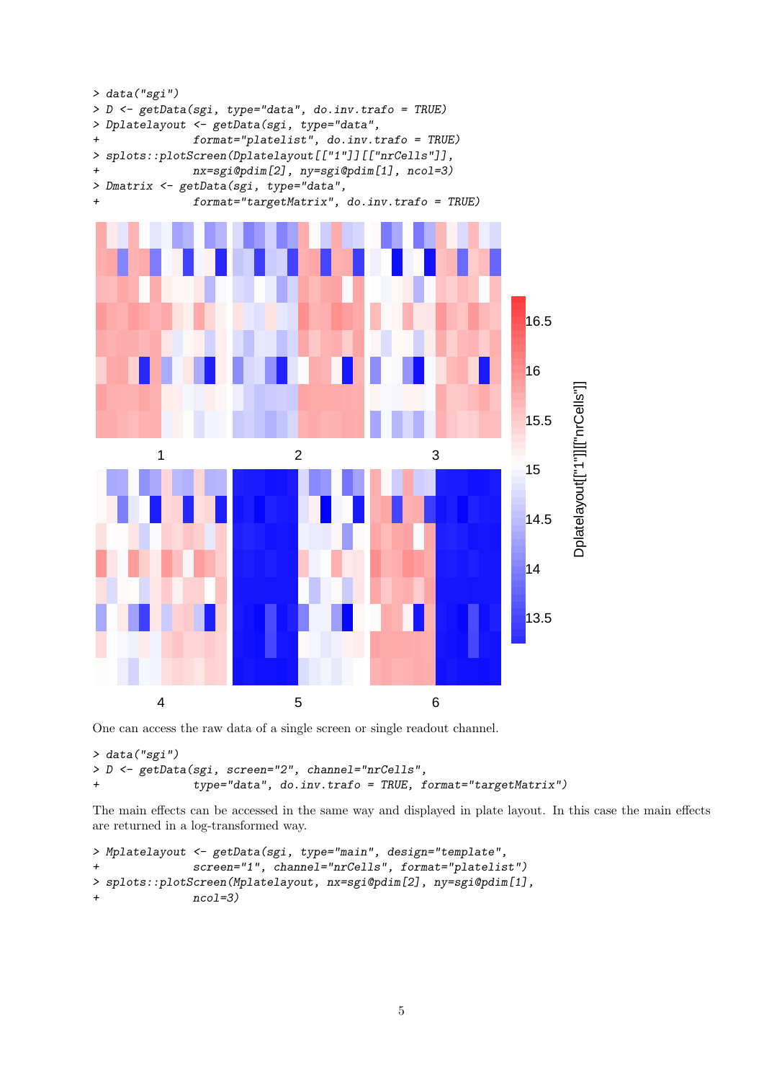

One can access the raw data of a single screen or single readout channel.

```
> data("sgi")
> D <- getData(sgi, screen="2", channel="nrCells",
+ type="data", do.inv.trafo = TRUE, format="targetMatrix")
```
The main effects can be accessed in the same way and displayed in plate layout. In this case the main effects are returned in a log-transformed way.

```
> Mplatelayout <- getData(sgi, type="main", design="template",
+ screen="1", channel="nrCells", format="platelist")
> splots::plotScreen(Mplatelayout, nx=sgi@pdim[2], ny=sgi@pdim[1],
+ ncol=3)
```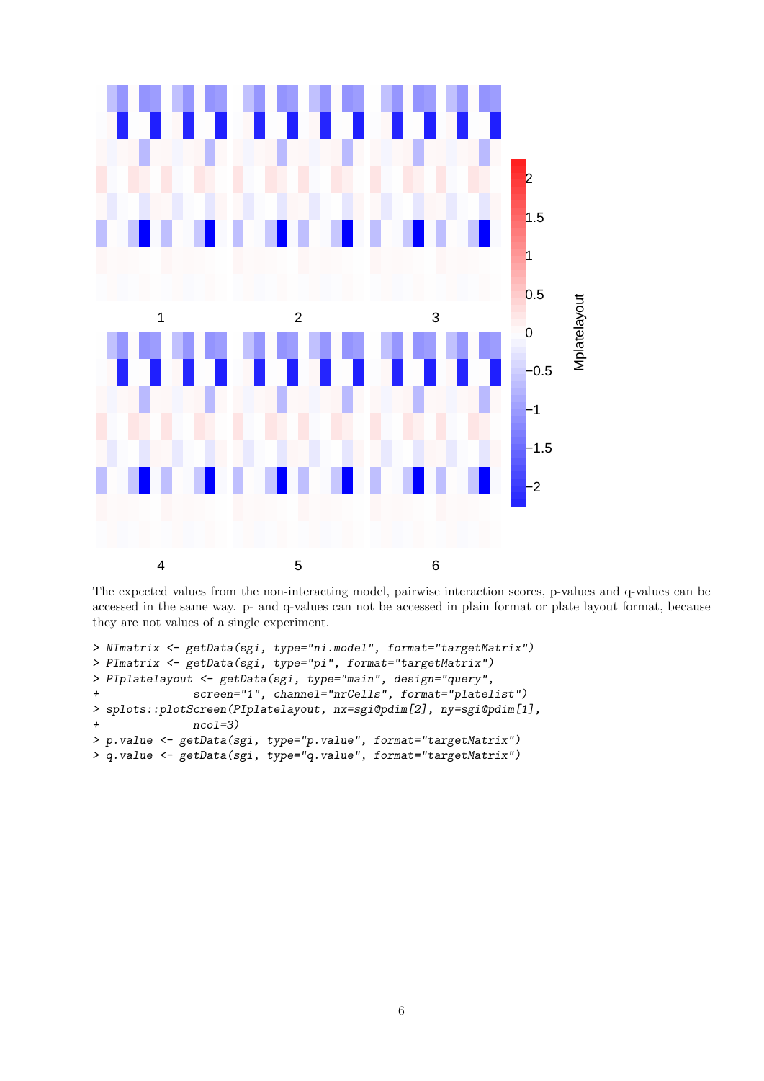

The expected values from the non-interacting model, pairwise interaction scores, p-values and q-values can be accessed in the same way. p- and q-values can not be accessed in plain format or plate layout format, because they are not values of a single experiment.

```
> NImatrix <- getData(sgi, type="ni.model", format="targetMatrix")
> PImatrix <- getData(sgi, type="pi", format="targetMatrix")
> PIplatelayout <- getData(sgi, type="main", design="query",
+ screen="1", channel="nrCells", format="platelist")
> splots::plotScreen(PIplatelayout, nx=sgi@pdim[2], ny=sgi@pdim[1],
+ ncol=3)
> p.value <- getData(sgi, type="p.value", format="targetMatrix")
> q.value <- getData(sgi, type="q.value", format="targetMatrix")
```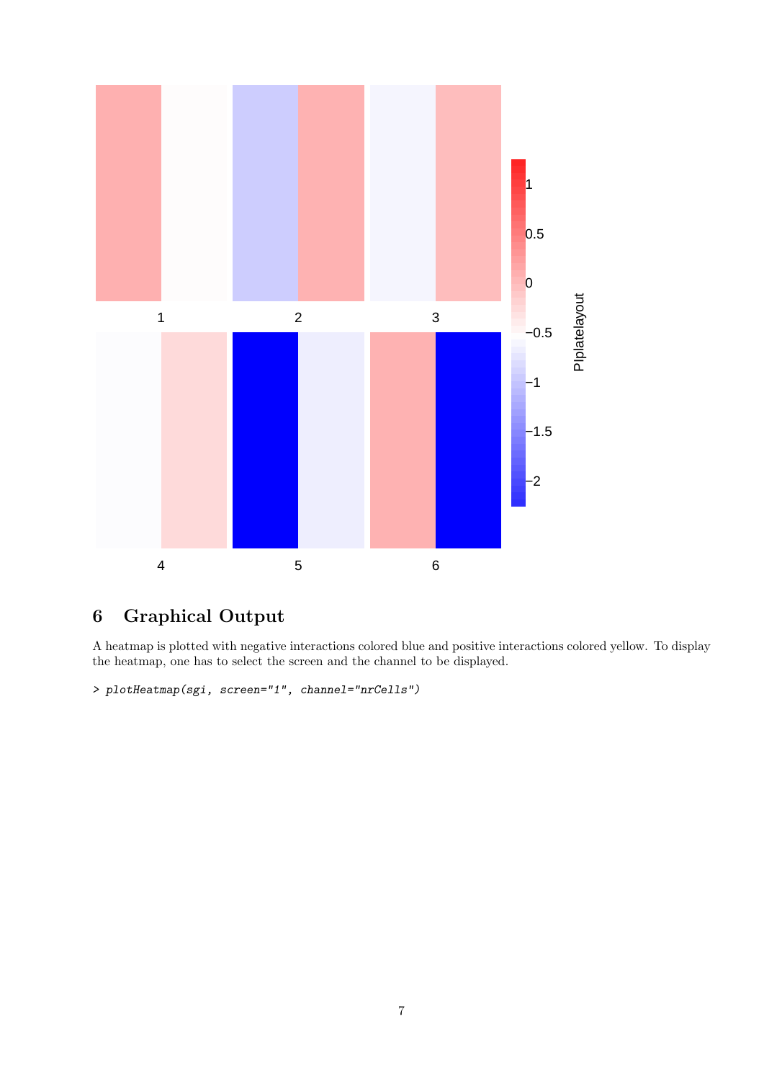

# <span id="page-6-0"></span>6 Graphical Output

A heatmap is plotted with negative interactions colored blue and positive interactions colored yellow. To display the heatmap, one has to select the screen and the channel to be displayed.

```
> plotHeatmap(sgi, screen="1", channel="nrCells")
```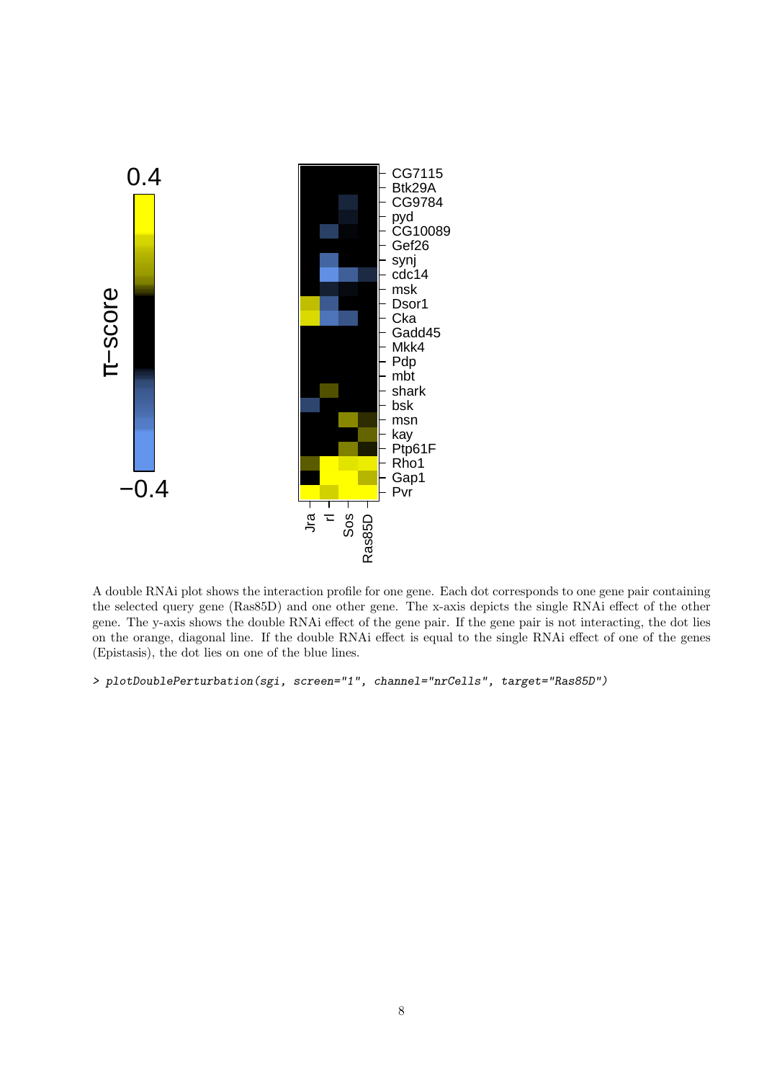

A double RNAi plot shows the interaction profile for one gene. Each dot corresponds to one gene pair containing the selected query gene (Ras85D) and one other gene. The x-axis depicts the single RNAi effect of the other gene. The y-axis shows the double RNAi effect of the gene pair. If the gene pair is not interacting, the dot lies on the orange, diagonal line. If the double RNAi effect is equal to the single RNAi effect of one of the genes (Epistasis), the dot lies on one of the blue lines.

```
> plotDoublePerturbation(sgi, screen="1", channel="nrCells", target="Ras85D")
```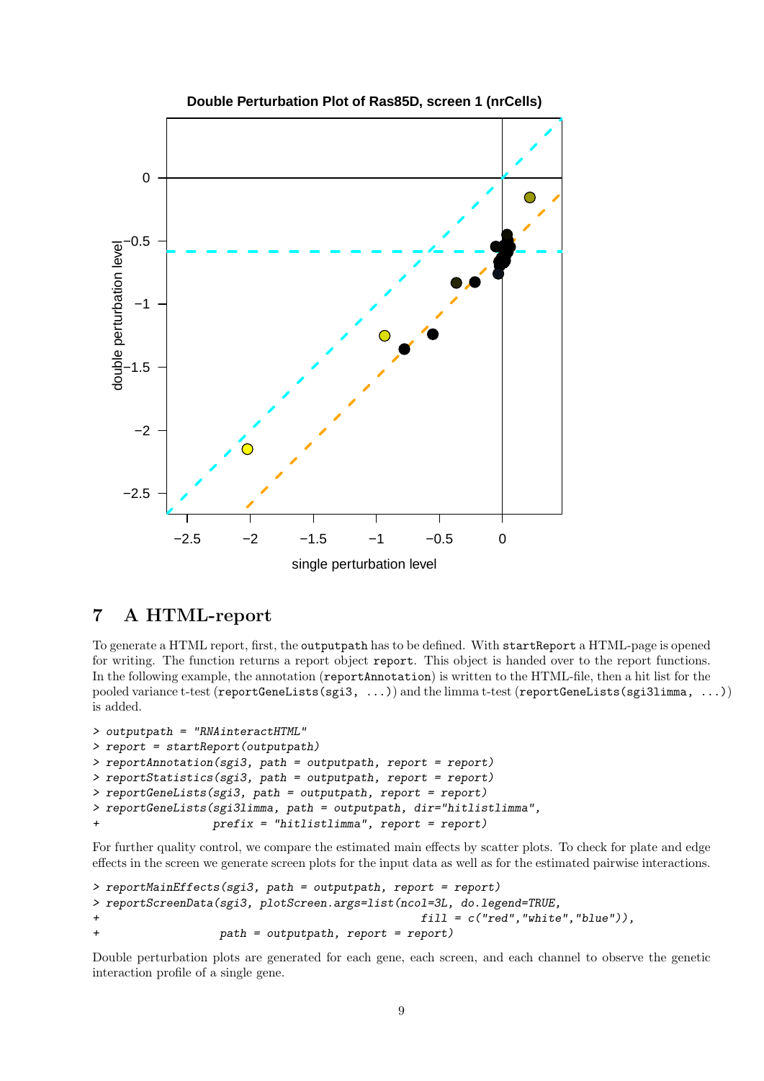

## <span id="page-8-0"></span>7 A HTML-report

To generate a HTML report, first, the outputpath has to be defined. With startReport a HTML-page is opened for writing. The function returns a report object report. This object is handed over to the report functions. In the following example, the annotation (reportAnnotation) is written to the HTML-file, then a hit list for the pooled variance t-test (reportGeneLists(sgi3, ...)) and the limma t-test (reportGeneLists(sgi3limma, ...)) is added.

```
> outputpath = "RNAinteractHTML"
> report = startReport(outputpath)
> reportAnnotation(sgi3, path = outputpath, report = report)
> reportStatistics(sgi3, path = outputpath, report = report)
> reportGeneLists(sgi3, path = outputpath, report = report)
> reportGeneLists(sgi3limma, path = outputpath, dir="hitlistlimma",
                  prefix = "hitlistlimma", report = report)
```
For further quality control, we compare the estimated main effects by scatter plots. To check for plate and edge effects in the screen we generate screen plots for the input data as well as for the estimated pairwise interactions.

```
> reportMainEffects(sgi3, path = outputpath, report = report)
> reportScreenData(sgi3, plotScreen.args=list(ncol=3L, do.legend=TRUE,
+ fill = c("red","white","blue")),
+ path = outputpath, report = report)
```
Double perturbation plots are generated for each gene, each screen, and each channel to observe the genetic interaction profile of a single gene.